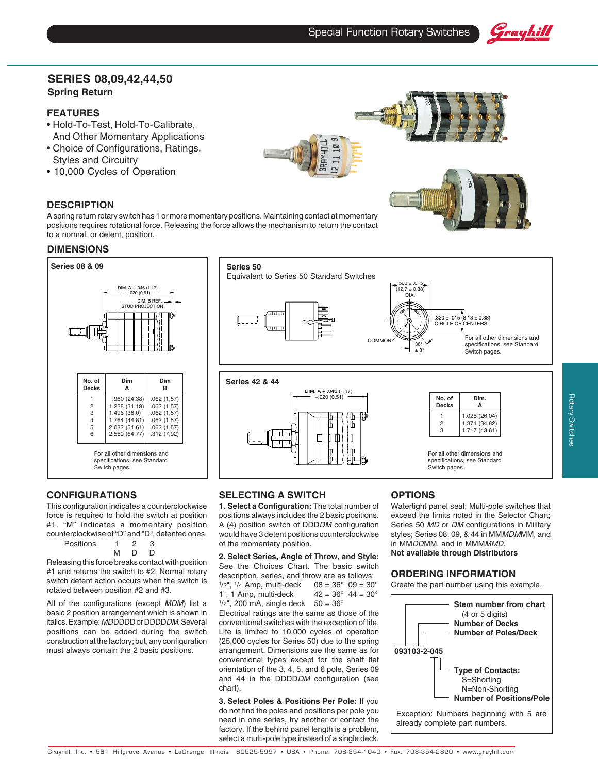

## **SERIES 08,09,42,44,50 Spring Return**

#### **FEATURES**

- Hold-To-Test, Hold-To-Calibrate, And Other Momentary Applications
- Choice of Configurations, Ratings, Styles and Circuitry
- 10,000 Cycles of Operation

#### **DESCRIPTION**

A spring return rotary switch has 1 or more momentary positions. Maintaining contact at momentary positions requires rotational force. Releasing the force allows the mechanism to return the contact to a normal, or detent, position.

#### **DIMENSIONS**



#### **CONFIGURATIONS**

This configuration indicates a counterclockwise force is required to hold the switch at position #1. "M" indicates a momentary position counterclockwise of "D" and "D", detented ones.

Positions 1 2 3 MDD

$$
\mathsf{M} \quad \mathsf{D}
$$

Releasing this force breaks contact with position #1 and returns the switch to #2. Normal rotary switch detent action occurs when the switch is rotated between position #2 and #3.

All of the configurations (except MDM) list a basic 2 position arrangement which is shown in italics. Example: MDDDDD or DDDDDM. Several positions can be added during the switch construction at the factory; but, any configuration must always contain the 2 basic positions.



#### **SELECTING A SWITCH**

**1. Select a Configuration:** The total number of positions always includes the 2 basic positions. A (4) position switch of DDDDM configuration would have 3 detent positions counterclockwise of the momentary position.

**2. Select Series, Angle of Throw, and Style:** See the Choices Chart. The basic switch description, series, and throw are as follows:  $\frac{1}{2}$ ", 1  $08 = 36° 09 = 30°$ 1", 1 Amp, multi-deck  $42 = 36^{\circ}$  44 =  $30^{\circ}$ 

 $1/2$ ", 200 mA, single deck  $50 = 36^{\circ}$ 

Electrical ratings are the same as those of the conventional switches with the exception of life. Life is limited to 10,000 cycles of operation (25,000 cycles for Series 50) due to the spring arrangement. Dimensions are the same as for conventional types except for the shaft flat orientation of the 3, 4, 5, and 6 pole, Series 09 and 44 in the DDDDDM configuration (see chart).

**3. Select Poles & Positions Per Pole:** If you do not find the poles and positions per pole you need in one series, try another or contact the factory. If the behind panel length is a problem, select a multi-pole type instead of a single deck.

### **OPTIONS**

Watertight panel seal; Multi-pole switches that exceed the limits noted in the Selector Chart; Series 50 MD or DM configurations in Military styles; Series 08, 09, & 44 in MMMDMMM, and in MMDDMM, and in MMMMMD. **Not available through Distributors**

Switch pages.

#### **ORDERING INFORMATION**

Create the part number using this example.

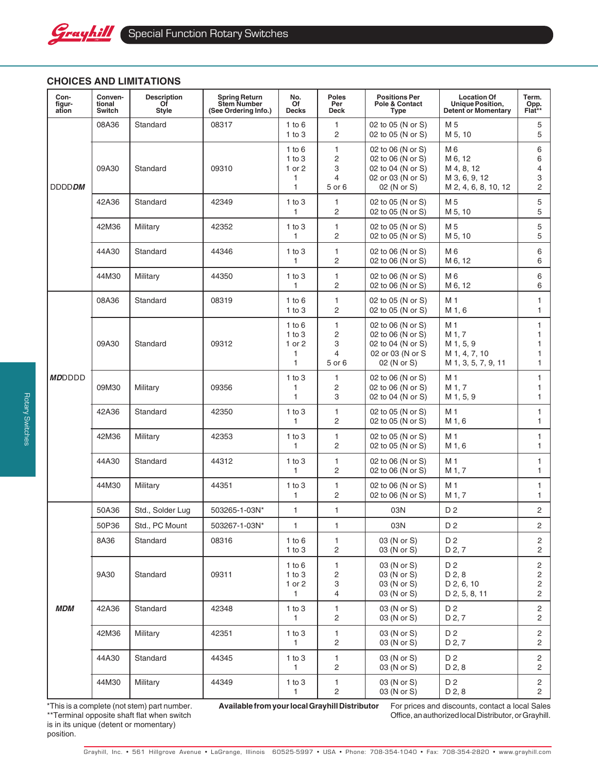

# **CHOICES AND LIMITATIONS**

| Con-<br>figur-<br>ation | Conven-<br>tional<br>Switch | <b>Description</b><br>Of<br><b>Style</b> | <b>Spring Return</b><br><b>Stem Number</b><br>(See Ordering Info.) | No.<br>Of<br>Decks                                | <b>Poles</b><br>Per<br>Deck             | <b>Positions Per</b><br>Pole & Contact<br>Type                                                  | <b>Location Of</b><br>Unique Position,<br><b>Detent or Momentary</b>          | Term.<br>Opp.<br>Flat**                    |
|-------------------------|-----------------------------|------------------------------------------|--------------------------------------------------------------------|---------------------------------------------------|-----------------------------------------|-------------------------------------------------------------------------------------------------|-------------------------------------------------------------------------------|--------------------------------------------|
| <b>DDDDDM</b>           | 08A36                       | Standard                                 | 08317                                                              | $1$ to $6$<br>$1$ to $3$                          | 1<br>2                                  | 02 to 05 (N or S)<br>02 to 05 (N or S)                                                          | M 5<br>M 5, 10                                                                | 5<br>5                                     |
|                         | 09A30                       | Standard                                 | 09310                                                              | 1 to 6<br>1 to 3<br>1 or $2$<br>1<br>$\mathbf{1}$ | 1<br>$\overline{c}$<br>3<br>4<br>5 or 6 | 02 to 06 (N or S)<br>02 to 06 (N or S)<br>02 to 04 (N or S)<br>02 or 03 (N or S)<br>02 (N or S) | M 6<br>M 6, 12<br>M 4, 8, 12<br>M 3, 6, 9, 12<br>M 2, 4, 6, 8, 10, 12         | 6<br>6<br>4<br>3<br>2                      |
|                         | 42A36                       | Standard                                 | 42349                                                              | $1$ to $3$<br>1                                   | 1<br>2                                  | 02 to 05 (N or S)<br>02 to 05 (N or S)                                                          | M 5<br>M 5, 10                                                                | 5<br>5                                     |
|                         | 42M36                       | Military                                 | 42352                                                              | $1$ to $3$<br>1                                   | 1<br>2                                  | 02 to 05 (N or S)<br>02 to 05 (N or S)                                                          | M <sub>5</sub><br>M 5, 10                                                     | 5<br>5                                     |
|                         | 44A30                       | Standard                                 | 44346                                                              | $1$ to $3$<br>1                                   | 1<br>2                                  | 02 to 06 (N or S)<br>02 to 06 (N or S)                                                          | M <sub>6</sub><br>M 6, 12                                                     | 6<br>6                                     |
|                         | 44M30                       | Military                                 | 44350                                                              | $1$ to $3$<br>1                                   | 1<br>2                                  | 02 to 06 (N or S)<br>02 to 06 (N or S)                                                          | M <sub>6</sub><br>M 6, 12                                                     | 6<br>6                                     |
| <b>MDDDDD</b>           | 08A36                       | Standard                                 | 08319                                                              | $1$ to $6$<br>$1$ to $3$                          | 1<br>$\overline{c}$                     | 02 to 05 (N or S)<br>02 to 05 (N or S)                                                          | M 1<br>M 1, 6                                                                 | 1<br>$\mathbf{1}$                          |
|                         | 09A30                       | Standard                                 | 09312                                                              | 1 to 6<br>1 to 3<br>1 or $2$<br>1<br>$\mathbf{1}$ | 1<br>$\mathsf{2}\,$<br>3<br>4<br>5 or 6 | 02 to 06 (N or S)<br>02 to 06 (N or S)<br>02 to 04 (N or S)<br>02 or 03 (N or S<br>02 (N or S)  | M <sub>1</sub><br>M 1, 7<br>M 1, 5, 9<br>M 1, 4, 7, 10<br>M 1, 3, 5, 7, 9, 11 | 1<br>1<br>1<br>1<br>$\mathbf{1}$           |
|                         | 09M30                       | Military                                 | 09356                                                              | $1$ to $3$<br>1<br>$\mathbf{1}$                   | 1<br>2<br>3                             | 02 to 06 (N or S)<br>02 to 06 (N or S)<br>02 to 04 (N or S)                                     | M 1<br>M 1, 7<br>M 1, 5, 9                                                    | $\mathbf{1}$<br>1<br>$\mathbf{1}$          |
|                         | 42A36                       | Standard                                 | 42350                                                              | $1$ to $3$<br>1                                   | 1<br>$\overline{c}$                     | 02 to 05 (N or S)<br>02 to 05 (N or S)                                                          | M <sub>1</sub><br>M 1, 6                                                      | 1<br>$\mathbf{1}$                          |
|                         | 42M36                       | Military                                 | 42353                                                              | 1 to 3<br>1                                       | 1<br>$\overline{c}$                     | 02 to 05 (N or S)<br>02 to 05 (N or S)                                                          | M <sub>1</sub><br>M 1, 6                                                      | $\mathbf{1}$<br>$\mathbf{1}$               |
|                         | 44A30                       | Standard                                 | 44312                                                              | $1$ to $3$<br>1                                   | 1<br>$\overline{2}$                     | 02 to 06 (N or S)<br>02 to 06 (N or S)                                                          | M 1<br>M 1, 7                                                                 | $\mathbf{1}$<br>1                          |
|                         | 44M30                       | Military                                 | 44351                                                              | $1$ to $3$<br>$\mathbf{1}$                        | 1<br>2                                  | 02 to 06 (N or S)<br>02 to 06 (N or S)                                                          | M <sub>1</sub><br>M 1, 7                                                      | 1<br>$\mathbf{1}$                          |
| <i><b>MDM</b></i>       | 50A36                       | Std., Solder Lug                         | 503265-1-03N*                                                      | $\mathbf{1}$                                      | 1                                       | 03N                                                                                             | D <sub>2</sub>                                                                | 2                                          |
|                         | 50P36                       | Std., PC Mount                           | 503267-1-03N*                                                      | $\mathbf{1}$                                      | 1                                       | 03N                                                                                             | D <sub>2</sub>                                                                | 2                                          |
|                         | 8A36                        | Standard                                 | 08316                                                              | 1 to $6$<br>$1$ to $3$                            | 1<br>$\overline{c}$                     | 03 (N or S)<br>03 (N or S)                                                                      | D <sub>2</sub><br>D 2, 7                                                      | 2<br>$\overline{2}$                        |
|                         | 9A30                        | Standard                                 | 09311                                                              | 1 to 6<br>$1$ to $3$<br>1 or 2<br>1               | 1<br>2<br>3<br>4                        | 03 (N or S)<br>03 (N or S)<br>03 (N or S)<br>03 (N or S)                                        | D 2<br>D 2, 8<br>D 2, 6, 10<br>D 2, 5, 8, 11                                  | $\overline{2}$<br>$\overline{c}$<br>2<br>2 |
|                         | 42A36                       | Standard                                 | 42348                                                              | 1 to 3<br>$\mathbf{1}$                            | 1<br>$\sqrt{2}$                         | 03 (N or S)<br>03 (N or S)                                                                      | D 2<br>D 2, 7                                                                 | $\overline{c}$<br>2                        |
|                         | 42M36                       | Military                                 | 42351                                                              | $1$ to $3$<br>1                                   | 1<br>$\sqrt{2}$                         | 03 (N or S)<br>03 (N or S)                                                                      | D 2<br>D 2, 7                                                                 | $\overline{2}$<br>2                        |
|                         | 44A30                       | Standard                                 | 44345                                                              | 1 to $3$<br>1                                     | 1<br>2                                  | 03 (N or S)<br>03 (N or S)                                                                      | D <sub>2</sub><br>D <sub>2</sub> , 8                                          | $\overline{2}$<br>2                        |
|                         | 44M30                       | Military                                 | 44349                                                              | 1 to $3$<br>1                                     | 1<br>$\overline{c}$                     | 03 (N or S)<br>03 (N or S)                                                                      | D <sub>2</sub><br>D <sub>2</sub> , 8                                          | $\overline{2}$<br>$\overline{2}$           |

\*This is a complete (not stem) part number. \*\*Terminal opposite shaft flat when switch is in its unique (detent or momentary) position.

**Available from your local Grayhill Distributor** For prices and discounts, contact a local Sales Office, an authorized local Distributor, or Grayhill.